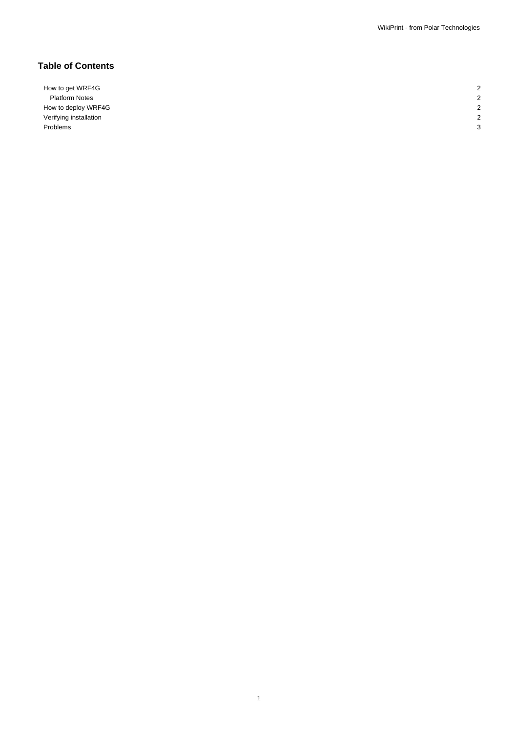# **Table of Contents**

How to get WRF4G 2 Platform Notes 2 How to deploy WRF4G 2 Verifying installation 2012 2013 12:30 12:30 12:30 12:30 12:30 12:30 12:30 12:30 12:30 12:30 12:30 12:30 12:30 12:30 12:30 12:30 12:30 12:30 12:30 12:30 12:30 12:30 12:30 12:30 12:30 12:30 12:30 12:30 12:30 12:30 12:30 12: Problems and the contract of the contract of the contract of the contract of the contract of the contract of the contract of the contract of the contract of the contract of the contract of the contract of the contract of t

1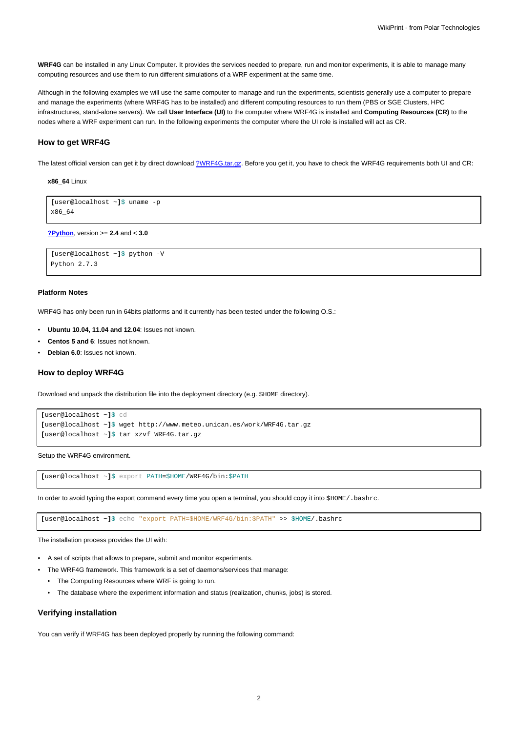**WRF4G** can be installed in any Linux Computer. It provides the services needed to prepare, run and monitor experiments, it is able to manage many computing resources and use them to run different simulations of a WRF experiment at the same time.

Although in the following examples we will use the same computer to manage and run the experiments, scientists generally use a computer to prepare and manage the experiments (where WRF4G has to be installed) and different computing resources to run them (PBS or SGE Clusters, HPC infrastructures, stand-alone servers). We call **User Interface (UI)** to the computer where WRF4G is installed and **Computing Resources (CR)** to the nodes where a WRF experiment can run. In the following experiments the computer where the UI role is installed will act as CR.

### **How to get WRF4G**

The latest official version can get it by direct download [?WRF4G.tar.gz](http://www.meteo.macc.unican.es/work/WRF4G.tar.gz). Before you get it, you have to check the WRF4G requirements both UI and CR:

#### **x86\_64** Linux

```
[user@localhost ~]$ uname -p
x86_64
```
**[?Python](http://www.python.org/)**, version >= **2.4** and < **3.0**

```
[user@localhost ~]$ python -V
Python 2.7.3
```
#### **Platform Notes**

WRF4G has only been run in 64bits platforms and it currently has been tested under the following O.S.:

- **Ubuntu 10.04, 11.04 and 12.04**: Issues not known.
- **Centos 5 and 6**: Issues not known.
- **Debian 6.0**: Issues not known.

#### **How to deploy WRF4G**

Download and unpack the distribution file into the deployment directory (e.g. \$HOME directory).

```
[user@localhost ~]$ cd
[user@localhost ~]$ wget http://www.meteo.unican.es/work/WRF4G.tar.gz
[user@localhost ~]$ tar xzvf WRF4G.tar.gz
```
Setup the WRF4G environment.

**[**user@localhost ~**]**\$ export PATH**=**\$HOME/WRF4G/bin:\$PATH

In order to avoid typing the export command every time you open a terminal, you should copy it into \$HOME/. bashrc.

**[**user@localhost ~**]**\$ echo "export PATH=\$HOME/WRF4G/bin:\$PATH" >> \$HOME/.bashrc

The installation process provides the UI with:

- A set of scripts that allows to prepare, submit and monitor experiments.
- The WRF4G framework. This framework is a set of daemons/services that manage:
	- The Computing Resources where WRF is going to run.
	- The database where the experiment information and status (realization, chunks, jobs) is stored.

## **Verifying installation**

You can verify if WRF4G has been deployed properly by running the following command: